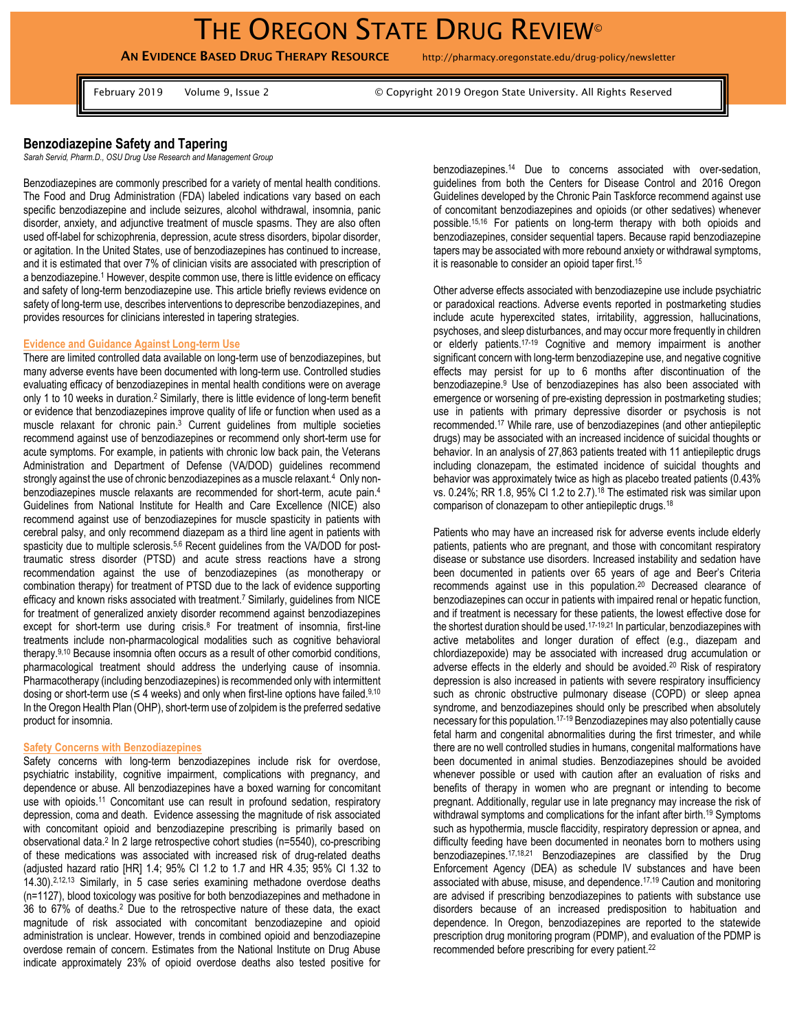**AN EVIDENCE BASED DRUG THERAPY RESOURCE** http://pharmacy.oregonstate.edu/drug-policy/newsletter

February 2019 Volume 9, Issue 2 G Copyright 2019 Oregon State University. All Rights Reserved

# **Benzodiazepine Safety and Tapering**

*Sarah Servid, Pharm.D., OSU Drug Use Research and Management Group*

Benzodiazepines are commonly prescribed for a variety of mental health conditions. The Food and Drug Administration (FDA) labeled indications vary based on each specific benzodiazepine and include seizures, alcohol withdrawal, insomnia, panic disorder, anxiety, and adjunctive treatment of muscle spasms. They are also often used off-label for schizophrenia, depression, acute stress disorders, bipolar disorder, or agitation. In the United States, use of benzodiazepines has continued to increase, and it is estimated that over 7% of clinician visits are associated with prescription of a benzodiazepine.<sup>1</sup> However, despite common use, there is little evidence on efficacy and safety of long-term benzodiazepine use. This article briefly reviews evidence on safety of long-term use, describes interventions to deprescribe benzodiazepines, and provides resources for clinicians interested in tapering strategies.

### **Evidence and Guidance Against Long-term Use**

There are limited controlled data available on long-term use of benzodiazepines, but many adverse events have been documented with long-term use. Controlled studies evaluating efficacy of benzodiazepines in mental health conditions were on average only 1 to 10 weeks in duration.<sup>2</sup> Similarly, there is little evidence of long-term benefit or evidence that benzodiazepines improve quality of life or function when used as a muscle relaxant for chronic pain.<sup>3</sup> Current guidelines from multiple societies recommend against use of benzodiazepines or recommend only short-term use for acute symptoms. For example, in patients with chronic low back pain, the Veterans Administration and Department of Defense (VA/DOD) guidelines recommend strongly against the use of chronic benzodiazepines as a muscle relaxant.<sup>4</sup> Only nonbenzodiazepines muscle relaxants are recommended for short-term, acute pain.<sup>4</sup> Guidelines from National Institute for Health and Care Excellence (NICE) also recommend against use of benzodiazepines for muscle spasticity in patients with cerebral palsy, and only recommend diazepam as a third line agent in patients with spasticity due to multiple sclerosis.<sup>5,6</sup> Recent quidelines from the VA/DOD for posttraumatic stress disorder (PTSD) and acute stress reactions have a strong recommendation against the use of benzodiazepines (as monotherapy or combination therapy) for treatment of PTSD due to the lack of evidence supporting efficacy and known risks associated with treatment. <sup>7</sup> Similarly, guidelines from NICE for treatment of generalized anxiety disorder recommend against benzodiazepines except for short-term use during crisis.<sup>8</sup> For treatment of insomnia, first-line treatments include non-pharmacological modalities such as cognitive behavioral therapy.9,10 Because insomnia often occurs as a result of other comorbid conditions, pharmacological treatment should address the underlying cause of insomnia. Pharmacotherapy (including benzodiazepines) is recommended only with intermittent dosing or short-term use ( $\leq 4$  weeks) and only when first-line options have failed.<sup>9,10</sup> In the Oregon Health Plan (OHP), short-term use of zolpidem is the preferred sedative product for insomnia.

# **Safety Concerns with Benzodiazepines**

Safety concerns with long-term benzodiazepines include risk for overdose, psychiatric instability, cognitive impairment, complications with pregnancy, and dependence or abuse. All benzodiazepines have a boxed warning for concomitant use with opioids.<sup>11</sup> Concomitant use can result in profound sedation, respiratory depression, coma and death. Evidence assessing the magnitude of risk associated with concomitant opioid and benzodiazepine prescribing is primarily based on observational data.<sup>2</sup> In 2 large retrospective cohort studies (n=5540), co-prescribing of these medications was associated with increased risk of drug-related deaths (adjusted hazard ratio [HR] 1.4; 95% CI 1.2 to 1.7 and HR 4.35; 95% CI 1.32 to 14.30).2,12,13 Similarly, in 5 case series examining methadone overdose deaths (n=1127), blood toxicology was positive for both benzodiazepines and methadone in 36 to 67% of deaths.<sup>2</sup> Due to the retrospective nature of these data, the exact magnitude of risk associated with concomitant benzodiazepine and opioid administration is unclear. However, trends in combined opioid and benzodiazepine overdose remain of concern. Estimates from the National Institute on Drug Abuse indicate approximately 23% of opioid overdose deaths also tested positive for benzodiazepines.<sup>14</sup> Due to concerns associated with over-sedation, guidelines from both the Centers for Disease Control and 2016 Oregon Guidelines developed by the Chronic Pain Taskforce recommend against use of concomitant benzodiazepines and opioids (or other sedatives) whenever possible.15,16 For patients on long-term therapy with both opioids and benzodiazepines, consider sequential tapers. Because rapid benzodiazepine tapers may be associated with more rebound anxiety or withdrawal symptoms, it is reasonable to consider an opioid taper first.<sup>15</sup>

Other adverse effects associated with benzodiazepine use include psychiatric or paradoxical reactions. Adverse events reported in postmarketing studies include acute hyperexcited states, irritability, aggression, hallucinations, psychoses, and sleep disturbances, and may occur more frequently in children or elderly patients.17-19 Cognitive and memory impairment is another significant concern with long-term benzodiazepine use, and negative cognitive effects may persist for up to 6 months after discontinuation of the benzodiazepine.<sup>9</sup> Use of benzodiazepines has also been associated with emergence or worsening of pre-existing depression in postmarketing studies; use in patients with primary depressive disorder or psychosis is not recommended.<sup>17</sup> While rare, use of benzodiazepines (and other antiepileptic drugs) may be associated with an increased incidence of suicidal thoughts or behavior. In an analysis of 27,863 patients treated with 11 antiepileptic drugs including clonazepam, the estimated incidence of suicidal thoughts and behavior was approximately twice as high as placebo treated patients (0.43% vs. 0.24%; RR 1.8, 95% CI 1.2 to 2.7).<sup>18</sup> The estimated risk was similar upon comparison of clonazepam to other antiepileptic drugs.<sup>18</sup>

Patients who may have an increased risk for adverse events include elderly patients, patients who are pregnant, and those with concomitant respiratory disease or substance use disorders. Increased instability and sedation have been documented in patients over 65 years of age and Beer's Criteria recommends against use in this population.<sup>20</sup> Decreased clearance of benzodiazepines can occur in patients with impaired renal or hepatic function, and if treatment is necessary for these patients, the lowest effective dose for the shortest duration should be used.17-19,21 In particular, benzodiazepines with active metabolites and longer duration of effect (e.g., diazepam and chlordiazepoxide) may be associated with increased drug accumulation or adverse effects in the elderly and should be avoided.<sup>20</sup> Risk of respiratory depression is also increased in patients with severe respiratory insufficiency such as chronic obstructive pulmonary disease (COPD) or sleep apnea syndrome, and benzodiazepines should only be prescribed when absolutely necessary for this population.17-19 Benzodiazepines may also potentially cause fetal harm and congenital abnormalities during the first trimester, and while there are no well controlled studies in humans, congenital malformations have been documented in animal studies. Benzodiazepines should be avoided whenever possible or used with caution after an evaluation of risks and benefits of therapy in women who are pregnant or intending to become pregnant. Additionally, regular use in late pregnancy may increase the risk of withdrawal symptoms and complications for the infant after birth.<sup>19</sup> Symptoms such as hypothermia, muscle flaccidity, respiratory depression or apnea, and difficulty feeding have been documented in neonates born to mothers using benzodiazepines.17,18,21 Benzodiazepines are classified by the Drug Enforcement Agency (DEA) as schedule IV substances and have been associated with abuse, misuse, and dependence.17,19 Caution and monitoring are advised if prescribing benzodiazepines to patients with substance use disorders because of an increased predisposition to habituation and dependence. In Oregon, benzodiazepines are reported to the statewide prescription drug monitoring program (PDMP), and evaluation of the PDMP is recommended before prescribing for every patient.22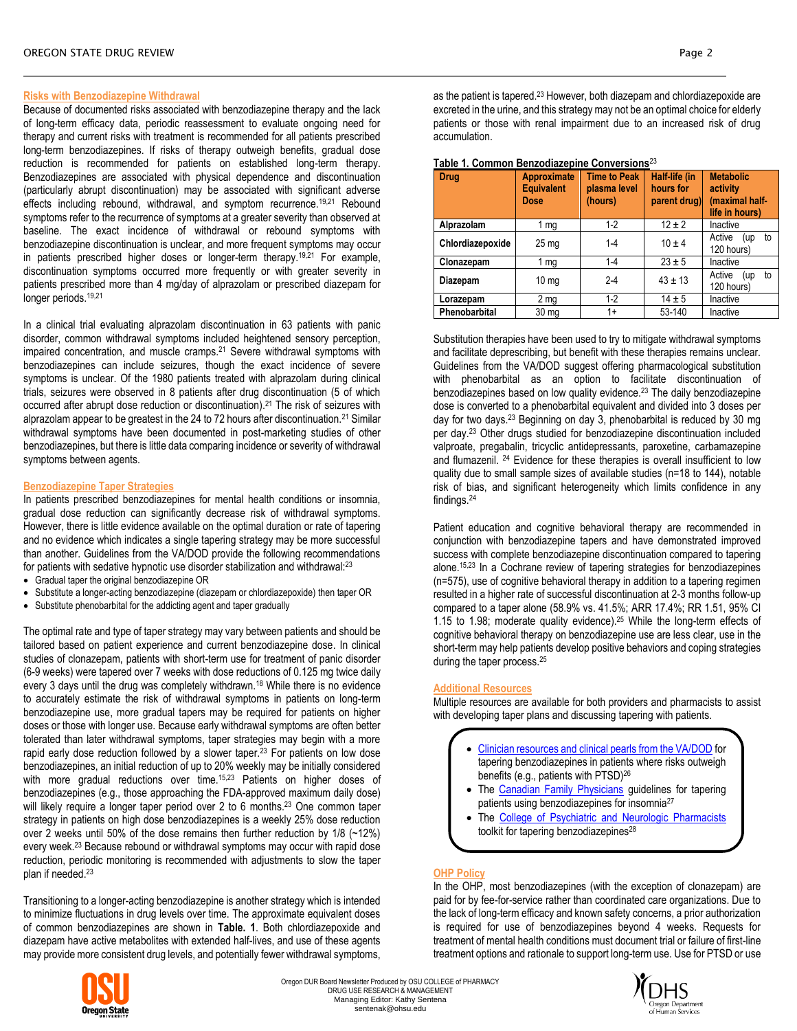# **Risks with Benzodiazepine Withdrawal**

Because of documented risks associated with benzodiazepine therapy and the lack of long-term efficacy data, periodic reassessment to evaluate ongoing need for therapy and current risks with treatment is recommended for all patients prescribed long-term benzodiazepines. If risks of therapy outweigh benefits, gradual dose reduction is recommended for patients on established long-term therapy. Benzodiazepines are associated with physical dependence and discontinuation (particularly abrupt discontinuation) may be associated with significant adverse effects including rebound, withdrawal, and symptom recurrence.<sup>19,21</sup> Rebound symptoms refer to the recurrence of symptoms at a greater severity than observed at baseline. The exact incidence of withdrawal or rebound symptoms with benzodiazepine discontinuation is unclear, and more frequent symptoms may occur in patients prescribed higher doses or longer-term therapy.<sup>19,21</sup> For example, discontinuation symptoms occurred more frequently or with greater severity in patients prescribed more than 4 mg/day of alprazolam or prescribed diazepam for longer periods.<sup>19,21</sup>

In a clinical trial evaluating alprazolam discontinuation in 63 patients with panic disorder, common withdrawal symptoms included heightened sensory perception, impaired concentration, and muscle cramps.<sup>21</sup> Severe withdrawal symptoms with benzodiazepines can include seizures, though the exact incidence of severe symptoms is unclear. Of the 1980 patients treated with alprazolam during clinical trials, seizures were observed in 8 patients after drug discontinuation (5 of which occurred after abrupt dose reduction or discontinuation).<sup>21</sup> The risk of seizures with alprazolam appear to be greatest in the 24 to 72 hours after discontinuation.<sup>21</sup> Similar withdrawal symptoms have been documented in post-marketing studies of other benzodiazepines, but there is little data comparing incidence or severity of withdrawal symptoms between agents.

### **Benzodiazepine Taper Strategies**

In patients prescribed benzodiazepines for mental health conditions or insomnia, gradual dose reduction can significantly decrease risk of withdrawal symptoms. However, there is little evidence available on the optimal duration or rate of tapering and no evidence which indicates a single tapering strategy may be more successful than another. Guidelines from the VA/DOD provide the following recommendations for patients with sedative hypnotic use disorder stabilization and withdrawal:<sup>23</sup>

- Gradual taper the original benzodiazepine OR
- Substitute a longer-acting benzodiazepine (diazepam or chlordiazepoxide) then taper OR
- Substitute phenobarbital for the addicting agent and taper gradually

The optimal rate and type of taper strategy may vary between patients and should be tailored based on patient experience and current benzodiazepine dose. In clinical studies of clonazepam, patients with short-term use for treatment of panic disorder (6-9 weeks) were tapered over 7 weeks with dose reductions of 0.125 mg twice daily every 3 days until the drug was completely withdrawn.<sup>18</sup> While there is no evidence to accurately estimate the risk of withdrawal symptoms in patients on long-term benzodiazepine use, more gradual tapers may be required for patients on higher doses or those with longer use. Because early withdrawal symptoms are often better tolerated than later withdrawal symptoms, taper strategies may begin with a more rapid early dose reduction followed by a slower taper.<sup>23</sup> For patients on low dose benzodiazepines, an initial reduction of up to 20% weekly may be initially considered with more gradual reductions over time.<sup>15,23</sup> Patients on higher doses of benzodiazepines (e.g., those approaching the FDA-approved maximum daily dose) will likely require a longer taper period over 2 to 6 months.<sup>23</sup> One common taper strategy in patients on high dose benzodiazepines is a weekly 25% dose reduction over 2 weeks until 50% of the dose remains then further reduction by 1/8 (~12%) every week.<sup>23</sup> Because rebound or withdrawal symptoms may occur with rapid dose reduction, periodic monitoring is recommended with adjustments to slow the taper plan if needed.<sup>23</sup>

Transitioning to a longer-acting benzodiazepine is another strategy which is intended to minimize fluctuations in drug levels over time. The approximate equivalent doses of common benzodiazepines are shown in **Table. 1**. Both chlordiazepoxide and diazepam have active metabolites with extended half-lives, and use of these agents may provide more consistent drug levels, and potentially fewer withdrawal symptoms,



| <b>Drug</b>      | <b>Approximate</b><br><b>Equivalent</b><br>Dose | <b>Time to Peak</b><br>plasma level<br>(hours) | Half-life (in<br>hours for<br>parent drug) | <b>Metabolic</b><br>activity<br>(maximal half-<br>life in hours) |
|------------------|-------------------------------------------------|------------------------------------------------|--------------------------------------------|------------------------------------------------------------------|
| Alprazolam       | 1 $mg$                                          | $1-2$                                          | $12 \pm 2$                                 | Inactive                                                         |
| Chlordiazepoxide | 25 <sub>mg</sub>                                | $1 - 4$                                        | $10 \pm 4$                                 | Active<br>to<br>(up<br>120 hours)                                |
| Clonazepam       | 1 mg                                            | $1 - 4$                                        | $23 \pm 5$                                 | Inactive                                                         |
| Diazepam         | 10 <sub>mg</sub>                                | $2 - 4$                                        | $43 \pm 13$                                | Active<br>to<br>(up<br>120 hours)                                |
| Lorazepam        | 2 mg                                            | $1-2$                                          | $14 \pm 5$                                 | Inactive                                                         |
| Phenobarbital    | 30 <sub>mg</sub>                                | $1+$                                           | 53-140                                     | Inactive                                                         |

#### **Table 1. Common Benzodiazepine Conversions**<sup>23</sup>

Substitution therapies have been used to try to mitigate withdrawal symptoms and facilitate deprescribing, but benefit with these therapies remains unclear. Guidelines from the VA/DOD suggest offering pharmacological substitution with phenobarbital as an option to facilitate discontinuation of benzodiazepines based on low quality evidence.<sup>23</sup> The daily benzodiazepine dose is converted to a phenobarbital equivalent and divided into 3 doses per day for two days.<sup>23</sup> Beginning on day 3, phenobarbital is reduced by 30 mg per day.<sup>23</sup> Other drugs studied for benzodiazepine discontinuation included valproate, pregabalin, tricyclic antidepressants, paroxetine, carbamazepine and flumazenil. <sup>24</sup> Evidence for these therapies is overall insufficient to low quality due to small sample sizes of available studies (n=18 to 144), notable risk of bias, and significant heterogeneity which limits confidence in any findings.<sup>24</sup>

Patient education and cognitive behavioral therapy are recommended in conjunction with benzodiazepine tapers and have demonstrated improved success with complete benzodiazepine discontinuation compared to tapering alone.15,23 In a Cochrane review of tapering strategies for benzodiazepines (n=575), use of cognitive behavioral therapy in addition to a tapering regimen resulted in a higher rate of successful discontinuation at 2-3 months follow-up compared to a taper alone (58.9% vs. 41.5%; ARR 17.4%; RR 1.51, 95% CI 1.15 to 1.98; moderate quality evidence).<sup>25</sup> While the long-term effects of cognitive behavioral therapy on benzodiazepine use are less clear, use in the short-term may help patients develop positive behaviors and coping strategies during the taper process.<sup>25</sup>

### **Additional Resources**

Multiple resources are available for both providers and pharmacists to assist with developing taper plans and discussing tapering with patients.

- [Clinician resources and clinical pearls from the VA/DOD](https://www.pbm.va.gov/PBM/AcademicDetailingService/Documents/Academic_Detailing_Educational_Material_Catalog/59_PTSD_NCPTSD_Provider_Helping_Patients_Taper_BZD.pdf) for tapering benzodiazepines in patients where risks outweigh benefits (e.g., patients with PTSD)<sup>26</sup>
- The [Canadian Family Physicians](http://www.cfp.ca/content/cfp/suppl/2018/05/14/64.5.339.DC1/Algorithm_eng.pdf) guidelines for tapering patients using benzodiazepines for insomnia<sup>27</sup>
- The [College of Psychiatric and Neurologic Pharmacists](https://cpnp.org/guideline/benzo) toolkit for tapering benzodiazepines<sup>28</sup>

# **OHP Policy**

In the OHP, most benzodiazepines (with the exception of clonazepam) are paid for by fee-for-service rather than coordinated care organizations. Due to the lack of long-term efficacy and known safety concerns, a prior authorization is required for use of benzodiazepines beyond 4 weeks. Requests for treatment of mental health conditions must document trial or failure of first-line treatment options and rationale to support long-term use. Use for PTSD or use



Oregon DUR Board Newsletter Produced by OSU COLLEGE of PHARMACY DRUG USE RESEARCH & MANAGEMENT Managing Editor: Kathy Sentena sentenak@ohsu.edu